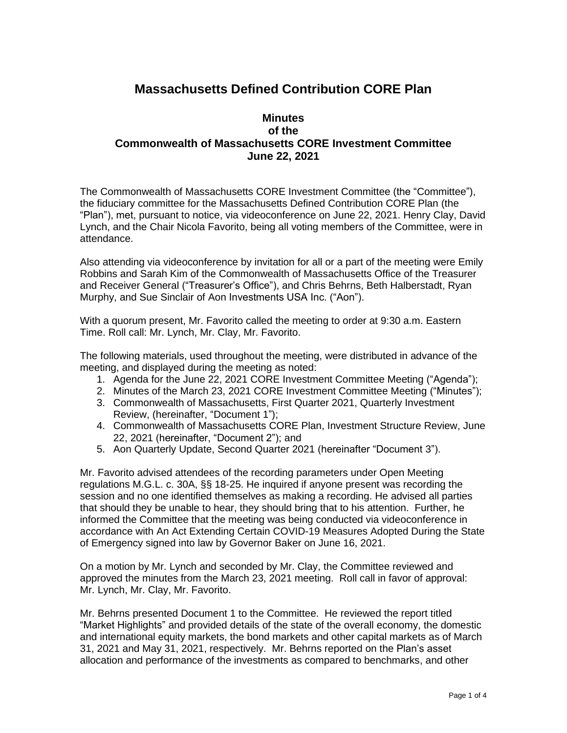## **Massachusetts Defined Contribution CORE Plan**

## **Minutes of the Commonwealth of Massachusetts CORE Investment Committee June 22, 2021**

The Commonwealth of Massachusetts CORE Investment Committee (the "Committee"), the fiduciary committee for the Massachusetts Defined Contribution CORE Plan (the "Plan"), met, pursuant to notice, via videoconference on June 22, 2021. Henry Clay, David Lynch, and the Chair Nicola Favorito, being all voting members of the Committee, were in attendance.

Also attending via videoconference by invitation for all or a part of the meeting were Emily Robbins and Sarah Kim of the Commonwealth of Massachusetts Office of the Treasurer and Receiver General ("Treasurer's Office"), and Chris Behrns, Beth Halberstadt, Ryan Murphy, and Sue Sinclair of Aon Investments USA Inc. ("Aon").

With a quorum present, Mr. Favorito called the meeting to order at 9:30 a.m. Eastern Time. Roll call: Mr. Lynch, Mr. Clay, Mr. Favorito.

The following materials, used throughout the meeting, were distributed in advance of the meeting, and displayed during the meeting as noted:

- 1. Agenda for the June 22, 2021 CORE Investment Committee Meeting ("Agenda");
- 2. Minutes of the March 23, 2021 CORE Investment Committee Meeting ("Minutes");
- 3. Commonwealth of Massachusetts, First Quarter 2021, Quarterly Investment Review, (hereinafter, "Document 1");
- 4. Commonwealth of Massachusetts CORE Plan, Investment Structure Review, June 22, 2021 (hereinafter, "Document 2"); and
- 5. Aon Quarterly Update, Second Quarter 2021 (hereinafter "Document 3").

Mr. Favorito advised attendees of the recording parameters under Open Meeting regulations M.G.L. c. 30A, §§ 18-25. He inquired if anyone present was recording the session and no one identified themselves as making a recording. He advised all parties that should they be unable to hear, they should bring that to his attention. Further, he informed the Committee that the meeting was being conducted via videoconference in accordance with An Act Extending Certain COVID-19 Measures Adopted During the State of Emergency signed into law by Governor Baker on June 16, 2021.

On a motion by Mr. Lynch and seconded by Mr. Clay, the Committee reviewed and approved the minutes from the March 23, 2021 meeting. Roll call in favor of approval: Mr. Lynch, Mr. Clay, Mr. Favorito.

Mr. Behrns presented Document 1 to the Committee. He reviewed the report titled "Market Highlights" and provided details of the state of the overall economy, the domestic and international equity markets, the bond markets and other capital markets as of March 31, 2021 and May 31, 2021, respectively. Mr. Behrns reported on the Plan's asset allocation and performance of the investments as compared to benchmarks, and other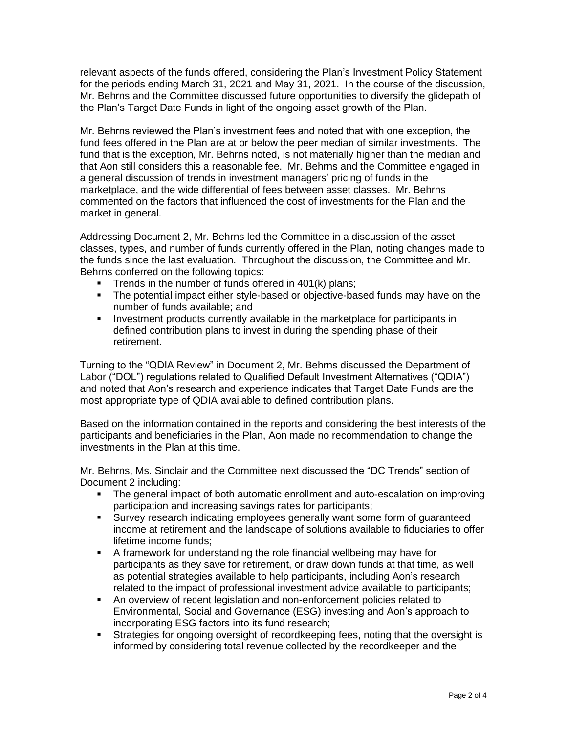relevant aspects of the funds offered, considering the Plan's Investment Policy Statement for the periods ending March 31, 2021 and May 31, 2021. In the course of the discussion, Mr. Behrns and the Committee discussed future opportunities to diversify the glidepath of the Plan's Target Date Funds in light of the ongoing asset growth of the Plan.

Mr. Behrns reviewed the Plan's investment fees and noted that with one exception, the fund fees offered in the Plan are at or below the peer median of similar investments. The fund that is the exception, Mr. Behrns noted, is not materially higher than the median and that Aon still considers this a reasonable fee. Mr. Behrns and the Committee engaged in a general discussion of trends in investment managers' pricing of funds in the marketplace, and the wide differential of fees between asset classes. Mr. Behrns commented on the factors that influenced the cost of investments for the Plan and the market in general.

Addressing Document 2, Mr. Behrns led the Committee in a discussion of the asset classes, types, and number of funds currently offered in the Plan, noting changes made to the funds since the last evaluation. Throughout the discussion, the Committee and Mr. Behrns conferred on the following topics:

- **•** Trends in the number of funds offered in 401(k) plans;
- The potential impact either style-based or objective-based funds may have on the number of funds available; and
- Investment products currently available in the marketplace for participants in defined contribution plans to invest in during the spending phase of their retirement.

Turning to the "QDIA Review" in Document 2, Mr. Behrns discussed the Department of Labor ("DOL") regulations related to Qualified Default Investment Alternatives ("QDIA") and noted that Aon's research and experience indicates that Target Date Funds are the most appropriate type of QDIA available to defined contribution plans.

Based on the information contained in the reports and considering the best interests of the participants and beneficiaries in the Plan, Aon made no recommendation to change the investments in the Plan at this time.

Mr. Behrns, Ms. Sinclair and the Committee next discussed the "DC Trends" section of Document 2 including:

- The general impact of both automatic enrollment and auto-escalation on improving participation and increasing savings rates for participants;
- **EXICT:** Survey research indicating employees generally want some form of guaranteed income at retirement and the landscape of solutions available to fiduciaries to offer lifetime income funds;
- A framework for understanding the role financial wellbeing may have for participants as they save for retirement, or draw down funds at that time, as well as potential strategies available to help participants, including Aon's research related to the impact of professional investment advice available to participants;
- An overview of recent legislation and non-enforcement policies related to Environmental, Social and Governance (ESG) investing and Aon's approach to incorporating ESG factors into its fund research;
- Strategies for ongoing oversight of record keeping fees, noting that the oversight is informed by considering total revenue collected by the recordkeeper and the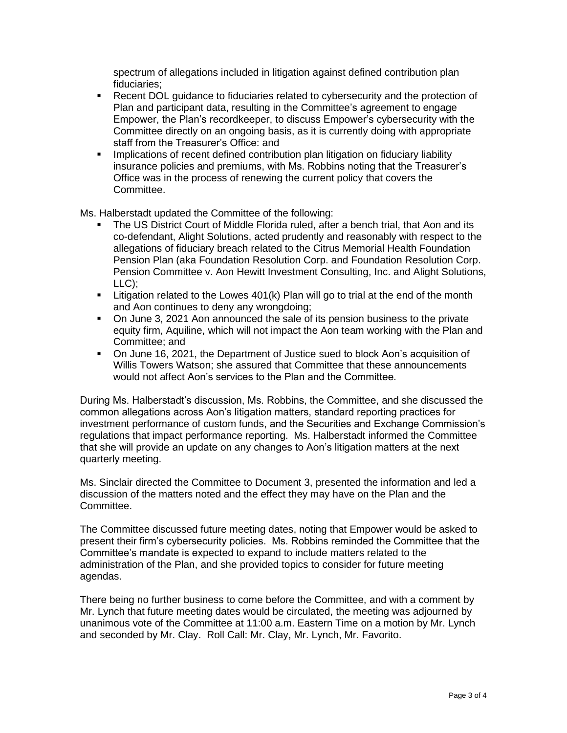spectrum of allegations included in litigation against defined contribution plan fiduciaries;

- Recent DOL guidance to fiduciaries related to cybersecurity and the protection of Plan and participant data, resulting in the Committee's agreement to engage Empower, the Plan's recordkeeper, to discuss Empower's cybersecurity with the Committee directly on an ongoing basis, as it is currently doing with appropriate staff from the Treasurer's Office: and
- Implications of recent defined contribution plan litigation on fiduciary liability insurance policies and premiums, with Ms. Robbins noting that the Treasurer's Office was in the process of renewing the current policy that covers the Committee.

Ms. Halberstadt updated the Committee of the following:

- The US District Court of Middle Florida ruled, after a bench trial, that Aon and its co-defendant, Alight Solutions, acted prudently and reasonably with respect to the allegations of fiduciary breach related to the Citrus Memorial Health Foundation Pension Plan (aka Foundation Resolution Corp. and Foundation Resolution Corp. Pension Committee v. Aon Hewitt Investment Consulting, Inc. and Alight Solutions, LLC);
- $\blacksquare$  Litigation related to the Lowes 401(k) Plan will go to trial at the end of the month and Aon continues to deny any wrongdoing;
- On June 3, 2021 Aon announced the sale of its pension business to the private equity firm, Aquiline, which will not impact the Aon team working with the Plan and Committee; and
- On June 16, 2021, the Department of Justice sued to block Aon's acquisition of Willis Towers Watson; she assured that Committee that these announcements would not affect Aon's services to the Plan and the Committee.

During Ms. Halberstadt's discussion, Ms. Robbins, the Committee, and she discussed the common allegations across Aon's litigation matters, standard reporting practices for investment performance of custom funds, and the Securities and Exchange Commission's regulations that impact performance reporting. Ms. Halberstadt informed the Committee that she will provide an update on any changes to Aon's litigation matters at the next quarterly meeting.

Ms. Sinclair directed the Committee to Document 3, presented the information and led a discussion of the matters noted and the effect they may have on the Plan and the Committee.

The Committee discussed future meeting dates, noting that Empower would be asked to present their firm's cybersecurity policies. Ms. Robbins reminded the Committee that the Committee's mandate is expected to expand to include matters related to the administration of the Plan, and she provided topics to consider for future meeting agendas.

There being no further business to come before the Committee, and with a comment by Mr. Lynch that future meeting dates would be circulated, the meeting was adjourned by unanimous vote of the Committee at 11:00 a.m. Eastern Time on a motion by Mr. Lynch and seconded by Mr. Clay. Roll Call: Mr. Clay, Mr. Lynch, Mr. Favorito.